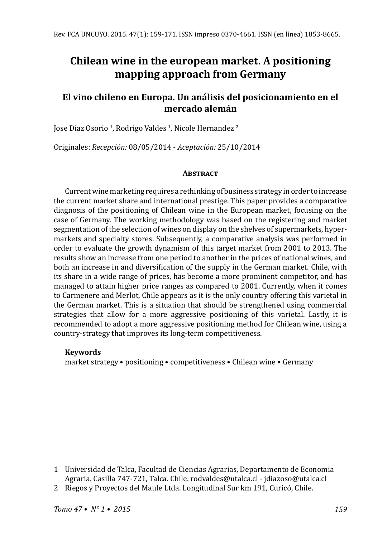# **Chilean wine in the european market. A positioning mapping approach from Germany**

# **El vino chileno en Europa. Un análisis del posicionamiento en el mercado alemán**

Jose Diaz Osorio <sup>I</sup>, Rodrigo Valdes <sup>I</sup>, Nicole Hernandez <del>'</del>

Originales: *Recepción:* 08/05/2014 - *Aceptación:* 25/10/2014

#### **Abstract**

Current wine marketing requires a rethinking of business strategy in order to increase the current market share and international prestige. This paper provides a comparative diagnosis of the positioning of Chilean wine in the European market, focusing on the case of Germany. The working methodology was based on the registering and market segmentation of the selection of wines on display on the shelves of supermarkets, hypermarkets and specialty stores. Subsequently, a comparative analysis was performed in order to evaluate the growth dynamism of this target market from 2001 to 2013. The results show an increase from one period to another in the prices of national wines, and both an increase in and diversification of the supply in the German market. Chile, with its share in a wide range of prices, has become a more prominent competitor, and has managed to attain higher price ranges as compared to 2001. Currently, when it comes to Carmenere and Merlot, Chile appears as it is the only country offering this varietal in the German market. This is a situation that should be strengthened using commercial strategies that allow for a more aggressive positioning of this varietal. Lastly, it is recommended to adopt a more aggressive positioning method for Chilean wine, using a country-strategy that improves its long-term competitiveness.

### **Keywords**

market strategy • positioning • competitiveness • Chilean wine • Germany

<sup>1</sup> Universidad de Talca, Facultad de Ciencias Agrarias, Departamento de Economia Agraria. Casilla 747-721, Talca. Chile. rodvaldes@utalca.cl - jdiazoso@utalca.cl

<sup>2</sup> Riegos y Proyectos del Maule Ltda. Longitudinal Sur km 191, Curicó, Chile.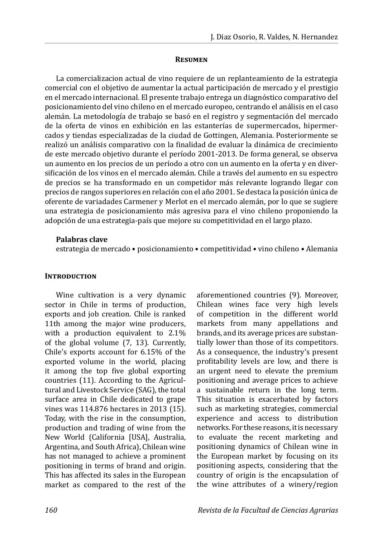#### **Resumen**

La comercializacion actual de vino requiere de un replanteamiento de la estrategia comercial con el objetivo de aumentar la actual participación de mercado y el prestigio en el mercado internacional. El presente trabajo entrega un diagnóstico comparativo del posicionamiento del vino chileno en el mercado europeo, centrando el análisis en el caso alemán. La metodología de trabajo se basó en el registro y segmentación del mercado de la oferta de vinos en exhibición en las estanterías de supermercados, hipermercados y tiendas especializadas de la ciudad de Gottingen, Alemania. Posteriormente se realizó un análisis comparativo con la finalidad de evaluar la dinámica de crecimiento de este mercado objetivo durante el período 2001-2013. De forma general, se observa un aumento en los precios de un período a otro con un aumento en la oferta y en diversificación de los vinos en el mercado alemán. Chile a través del aumento en su espectro de precios se ha transformado en un competidor más relevante logrando llegar con precios de rangos superiores en relación con el año 2001. Se destaca la posición única de oferente de variadades Carmener y Merlot en el mercado alemán, por lo que se sugiere una estrategia de posicionamiento más agresiva para el vino chileno proponiendo la adopción de una estrategia-país que mejore su competitividad en el largo plazo.

## **Palabras clave**

estrategia de mercado • posicionamiento • competitividad • vino chileno • Alemania

# **INTRODUCTION**

Wine cultivation is a very dynamic sector in Chile in terms of production, exports and job creation. Chile is ranked 11th among the major wine producers, with a production equivalent to 2.1% of the global volume (7, 13). Currently, Chile's exports account for 6.15% of the exported volume in the world, placing it among the top five global exporting countries (11). According to the Agricultural and Livestock Service (SAG), the total surface area in Chile dedicated to grape vines was 114.876 hectares in 2013 (15). Today, with the rise in the consumption, production and trading of wine from the New World (California [USA], Australia, Argentina, and South Africa), Chilean wine has not managed to achieve a prominent positioning in terms of brand and origin. This has affected its sales in the European market as compared to the rest of the

aforementioned countries (9). Moreover, Chilean wines face very high levels of competition in the different world markets from many appellations and brands, and its average prices are substantially lower than those of its competitors. As a consequence, the industry's present profitability levels are low, and there is an urgent need to elevate the premium positioning and average prices to achieve a sustainable return in the long term. This situation is exacerbated by factors such as marketing strategies, commercial experience and access to distribution networks. For these reasons, it is necessary to evaluate the recent marketing and positioning dynamics of Chilean wine in the European market by focusing on its positioning aspects, considering that the country of origin is the encapsulation of the wine attributes of a winery/region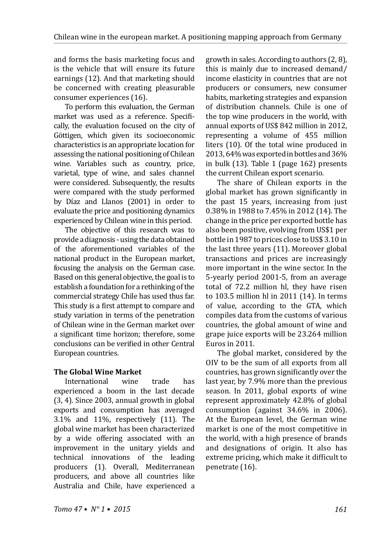and forms the basis marketing focus and is the vehicle that will ensure its future earnings (12). And that marketing should be concerned with creating pleasurable consumer experiences (16).

To perform this evaluation, the German market was used as a reference. Specifically, the evaluation focused on the city of Göttigen, which given its socioeconomic characteristics is an appropriate location for assessing the national positioning of Chilean wine. Variables such as country, price, varietal, type of wine, and sales channel were considered. Subsequently, the results were compared with the study performed by Díaz and Llanos (2001) in order to evaluate the price and positioning dynamics experienced by Chilean wine in this period.

The objective of this research was to provide a diagnosis - using the data obtained of the aforementioned variables of the national product in the European market, focusing the analysis on the German case. Based on this general objective, the goal is to establish a foundation for a rethinking of the commercial strategy Chile has used thus far. This study is a first attempt to compare and study variation in terms of the penetration of Chilean wine in the German market over a significant time horizon; therefore, some conclusions can be verified in other Central European countries.

# **The Global Wine Market**

International wine trade has experienced a boom in the last decade (3, 4). Since 2003, annual growth in global exports and consumption has averaged 3.1% and 11%, respectively (11). The global wine market has been characterized by a wide offering associated with an improvement in the unitary yields and technical innovations of the leading producers (1). Overall, Mediterranean producers, and above all countries like Australia and Chile, have experienced a growth in sales. According to authors (2, 8), this is mainly due to increased demand/ income elasticity in countries that are not producers or consumers, new consumer habits, marketing strategies and expansion of distribution channels. Chile is one of the top wine producers in the world, with annual exports of US\$ 842 million in 2012, representing a volume of 455 million liters (10). Of the total wine produced in 2013, 64% was exported in bottles and 36% in bulk (13). Table 1 (page 162) presents the current Chilean export scenario.

The share of Chilean exports in the global market has grown significantly in the past 15 years, increasing from just 0.38% in 1988 to 7.45% in 2012 (14). The change in the price per exported bottle has also been positive, evolving from US\$1 per bottle in 1987 to prices close to US\$ 3.10 in the last three years (11). Moreover global transactions and prices are increasingly more important in the wine sector. In the 5-yearly period 2001-5, from an average total of 72.2 million hl, they have risen to 103.5 million hl in 2011 (14). In terms of value, according to the GTA, which compiles data from the customs of various countries, the global amount of wine and grape juice exports will be 23.264 million Euros in 2011.

The global market, considered by the OIV to be the sum of all exports from all countries, has grown significantly over the last year, by 7.9% more than the previous season. In 2011, global exports of wine represent approximately 42.8% of global consumption (against 34.6% in 2006). At the European level, the German wine market is one of the most competitive in the world, with a high presence of brands and designations of origin. It also has extreme pricing, which make it difficult to penetrate (16).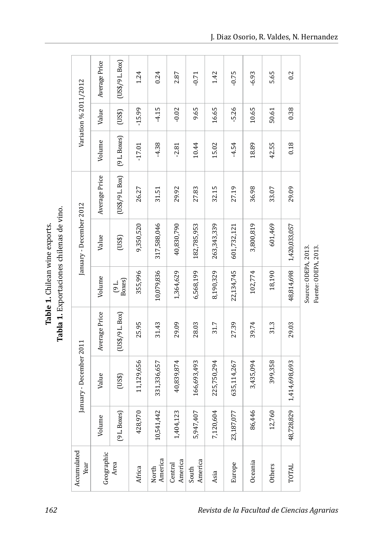Tabla 1. Exportaciones chilenas de vino. **Tabla 1.** Exportaciones chilenas de vino. Table 1. Chilean wine exports. **Table 1.** Chilean wine exports.

|                         | Average Price | $(US\frac{4}{9}L\,Box)$ | 1.24       | 0.24             | 2.87               | $-0.71$          | 1.42        | $-0.75$     | $-6.93$   | 5.65    | 0.2           |                      |
|-------------------------|---------------|-------------------------|------------|------------------|--------------------|------------------|-------------|-------------|-----------|---------|---------------|----------------------|
| Variation % 2011/2012   | Value         | (US3)                   | $-15.99$   | $-4.15$          | $-0.02$            | 9.65             | 16.65       | $-5.26$     | 10.65     | 50.61   | 0.38          |                      |
|                         | Volume        | $(9 L$ . Boxes $)$      | $-17.01$   | $-4.38$          | $-2.81$            | 10.44            | 15.02       | $-4.54$     | 18.89     | 42.55   | 0.18          |                      |
|                         | Average Price | (US\$/9 L. Box)         | 26.27      | 31.51            | 29.92              | 27.83            | 32.15       | 27.19       | 36.98     | 33.07   | 29.09         |                      |
| January - December 2012 | Value         | (USI)                   | 9,350,520  | 317,588,046      | 40,830,790         | 182,785,953      | 263,343,339 | 601,732,121 | 3,800,819 | 601,469 | 1,420,033,057 |                      |
|                         | Volume        | $(9 L$<br>Boxes         | 355,996    | 10,079,836       | 1,364,629          | 6,568,199        | 8,190,329   | 22,134,745  | 102,774   | 18,190  | 48,814,698    | Source: ODEPA, 2013. |
|                         | Average Price | (US\$/9 L. Box)         | 25.95      | 31.43            | 29.09              | 28.03            | 31.7        | 27.39       | 39.74     | 31.3    | 29.03         |                      |
| January - December 2011 | Value         | (US3)                   | 11,129,656 | 331,336,657      | 40,839,874         | 166,693,493      | 225,750,294 | 635,114,267 | 3,435,094 | 399,358 | 1,414,698,693 |                      |
|                         | Volume        | (9 L. Boxes)            | 428,970    | 10,541,442       | 1,404,123          | 5,947,407        | 7,120,604   | 23,187,077  | 86,446    | 12,760  | 48,728,829    |                      |
| Accumulated<br>Year     | Geographic    | Area                    | Africa     | America<br>North | America<br>Central | America<br>South | Asia        | Europe      | Oceania   | Others  | TOTAL         |                      |

Fuente: ODEPA, 2013.

Fuente: ODEPA, 2013.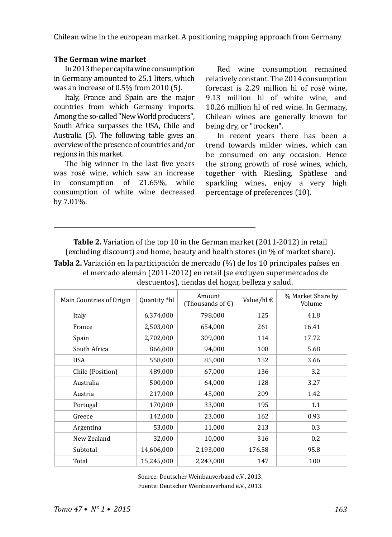### **The German wine market**

In 2013 the per capita wine consumption in Germany amounted to 25.1 liters, which was an increase of 0.5% from 2010 (5).

Italy, France and Spain are the major countries from which Germany imports. Among the so-called "New World producers", South Africa surpasses the USA, Chile and Australia (5). The following table gives an overview of the presence of countries and/or regions in this market.

The big winner in the last five years was rosé wine, which saw an increase<br>in consumption of 21.65% while in consumption of  $21.65\%$ , consumption of white wine decreased by 7.01%.

Red wine consumption remained relatively constant. The 2014 consumption forecast is 2.29 million hl of rosé wine, 9.13 million hl of white wine, and 10.26 million hl of red wine. In Germany, Chilean wines are generally known for being dry, or "trocken".

In recent years there has been a trend towards milder wines, which can be consumed on any occasion. Hence the strong growth of rosé wines, which, together with Riesling, Spätlese and sparkling wines, enjoy a very high percentage of preferences (10).

**Table 2.** Variation of the top 10 in the German market (2011-2012) in retail (excluding discount) and home, beauty and health stores (in % of market share).

**Tabla 2.** Variación en la participación de mercado (%) de los 10 principales países en el mercado alemán (2011-2012) en retail (se excluyen supermercados de descuentos), tiendas del hogar, belleza y salud.

| Main Countries of Origin | Quantity *hl | Amount<br>(Thousands of $\epsilon$ ) | Value/hl $\epsilon$ | % Market Share by<br>Volume |
|--------------------------|--------------|--------------------------------------|---------------------|-----------------------------|
| Italy                    | 6,374,000    | 798,000                              | 125                 | 41.8                        |
| France                   | 2,503,000    | 654,000                              | 261                 | 16.41                       |
| Spain                    | 2,702,000    | 309,000                              | 114                 | 17.72                       |
| South Africa             | 866,000      | 94,000                               | 108                 | 5.68                        |
| <b>USA</b>               | 558,000      | 85,000                               | 152                 | 3.66                        |
| Chile (Position)         | 489,000      | 67,000                               | 136                 | 3.2                         |
| Australia                | 500,000      | 64,000                               | 128                 | 3.27                        |
| Austria                  | 217,000      | 45,000                               | 209                 | 1.42                        |
| Portugal                 | 170,000      | 33,000                               | 195                 | 1.1                         |
| Greece                   | 142,000      | 23,000                               | 162                 | 0.93                        |
| Argentina                | 53,000       | 11,000                               | 213                 | 0.3                         |
| New Zealand              | 32,000       | 10,000                               | 316                 | 0.2                         |
| Subtotal                 | 14,606,000   | 2,193,000                            | 176.58              | 95.8                        |
| Total                    | 15,245,000   | 2.243.000                            | 147                 | 100                         |

Source: Deutscher Weinbauverband e.V., 2013. Fuente: Deutscher Weinbauverband e.V., 2013.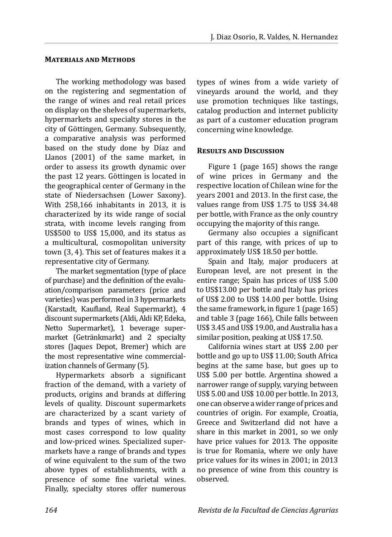### **Materials and Methods**

The working methodology was based on the registering and segmentation of the range of wines and real retail prices on display on the shelves of supermarkets, hypermarkets and specialty stores in the city of Göttingen, Germany. Subsequently, a comparative analysis was performed based on the study done by Díaz and Llanos (2001) of the same market, in order to assess its growth dynamic over the past 12 years. Göttingen is located in the geographical center of Germany in the state of Niedersachsen (Lower Saxony). With 258,166 inhabitants in 2013, it is characterized by its wide range of social strata, with income levels ranging from US\$500 to US\$ 15,000, and its status as a multicultural, cosmopolitan university town (3, 4). This set of features makes it a representative city of Germany.

The market segmentation (type of place of purchase) and the definition of the evaluation/comparison parameters (price and varieties) was performed in 3 hypermarkets (Karstadt, Kaufland, Real Supermarkt), 4 discount supermarkets (Aldi, Aldi KP, Edeka, Netto Supermarket), 1 beverage supermarket (Getränkmarkt) and 2 specialty stores (Jaques Depot, Bremer) which are the most representative wine commercialization channels of Germany (5).

Hypermarkets absorb a significant fraction of the demand, with a variety of products, origins and brands at differing levels of quality. Discount supermarkets are characterized by a scant variety of brands and types of wines, which in most cases correspond to low quality and low-priced wines. Specialized supermarkets have a range of brands and types of wine equivalent to the sum of the two above types of establishments, with a presence of some fine varietal wines. Finally, specialty stores offer numerous types of wines from a wide variety of vineyards around the world, and they use promotion techniques like tastings, catalog production and internet publicity as part of a customer education program concerning wine knowledge.

## **Results and Discussion**

Figure 1 (page 165) shows the range of wine prices in Germany and the respective location of Chilean wine for the years 2001 and 2013. In the first case, the values range from US\$ 1.75 to US\$ 34.48 per bottle, with France as the only country occupying the majority of this range.

Germany also occupies a significant part of this range, with prices of up to approximately US\$ 18.50 per bottle.

Spain and Italy, major producers at European level, are not present in the entire range; Spain has prices of US\$ 5.00 to US\$13.00 per bottle and Italy has prices of US\$ 2.00 to US\$ 14.00 per bottle. Using the same framework, in figure 1 (page 165) and table 3 (page 166), Chile falls between US\$ 3.45 and US\$ 19.00, and Australia has a similar position, peaking at US\$ 17.50.

California wines start at US\$ 2.00 per bottle and go up to US\$ 11.00; South Africa begins at the same base, but goes up to US\$ 5.00 per bottle. Argentina showed a narrower range of supply, varying between US\$ 5.00 and US\$ 10.00 per bottle. In 2013, one can observe a wider range of prices and countries of origin. For example, Croatia, Greece and Switzerland did not have a share in this market in 2001, so we only have price values for 2013. The opposite is true for Romania, where we only have price values for its wines in 2001; in 2013 no presence of wine from this country is observed.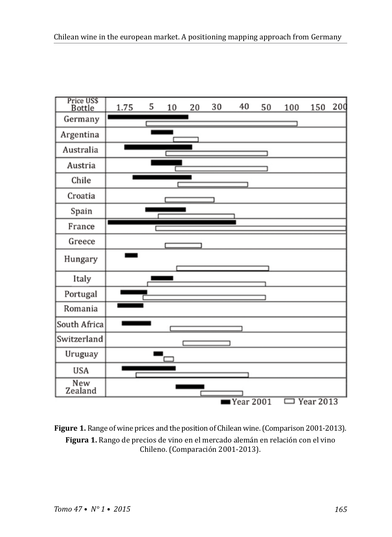

**Figure 1.** Range of wine prices and the position of Chilean wine. (Comparison 2001-2013). **Figura 1.** Rango de precios de vino en el mercado alemán en relación con el vino Chileno. (Comparación 2001-2013).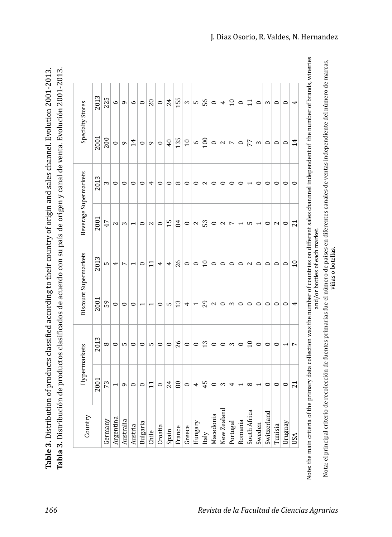Tabla 3. Distribución de productos clasificados de acuerdo con su país de origen y canal de venta. Evolución 2001-2013. Table 3. Distribution of products classified according to their country of origin and sales channel. Evolution 2001-2013. **Tabla 3.** Distribución de productos clasificados de acuerdo con su país de origen y canal de venta. Evolución 2001-2013. **Table 3.** Distribution of products classified according to their country of origin and sales channel. Evolution 2001-2013.

| Country         | Hypermarkets             |                          | Discount Supermarkets    |                          |                          | Beverage Supermarkets    |                 | Specialty Stores |
|-----------------|--------------------------|--------------------------|--------------------------|--------------------------|--------------------------|--------------------------|-----------------|------------------|
|                 | 2001                     | 2013                     | 2001                     | 2013                     | 2001                     | 2013                     | 2001            | 2013             |
| Germany         | 73                       | $^{\circ}$               | 59                       | Б                        | 47                       | 3                        | <b>200</b>      | 225              |
| Argentina       | 1                        | $\circ$                  | $\circ$                  | 4                        | $\sim$                   | $\circ$                  | $\circ$         | $\circ$          |
| Australia       | G                        | S                        | 0                        | $\overline{ }$           | 3                        | 0                        | 6               | G                |
| Austria         | $\circ$                  | $\circ$                  | $\circ$                  | $\overline{\phantom{0}}$ | $\overline{\phantom{0}}$ | $\circ$                  | 14              | $\circ$          |
| Bulgaria        | $\circ$                  | $\circ$                  |                          | $\circ$                  | $\circ$                  | $\circ$                  | $\circ$         | $\circ$          |
| Chile           | $\Xi$                    | Б                        | ٣                        | $\Xi$                    | $\sim$                   | 4                        | G               | 20               |
| Croatia         | $\circ$                  | $\circ$                  | $\circ$                  | 4                        | $\circ$                  | $\circ$                  | $\circ$         | $\circ$          |
| Spain           | 24                       | $\circ$                  | S                        | 4                        | 15                       | $\circ$                  | $\overline{40}$ | 24               |
| France          | 80                       | 26                       | 13                       | 26                       | 84                       | $^{\circ}$               | 135             | 155              |
| Greece          | $\circ$                  | $\circ$                  | 4                        | $\circ$                  | $\circ$                  | $\circ$                  | $\overline{10}$ | 3                |
| Hungary         | 4                        | $\circ$                  | $\overline{\phantom{0}}$ | $\circ$                  | 2                        | 0                        | $\circ$         | S                |
| Italy           | 45                       | 13                       | 29                       | 10                       | 53                       | $\mathbf{z}$             | 100             | 56               |
| Macedonia       | $\circ$                  | $\circ$                  | 2                        | 0                        | 0                        | $\circ$                  | $\circ$         | 0                |
| ರ<br>New Zealan | 3                        | $\circ$                  | $\circ$                  | $\circ$                  | $\mathbf{z}$             | $\circ$                  | $\sim$          | 4                |
| Portugal        | 4                        | 3                        | 3                        | $\circ$                  | $\overline{ }$           | $\circ$                  | $\overline{ }$  | $\overline{10}$  |
| Romania         | $\overline{\phantom{0}}$ | $\circ$                  | $\circ$                  | $\circ$                  | ٣                        | $\circ$                  | $\circ$         | 0                |
| South Africa    | $^{\circ}$               | 10                       | $\circ$                  | $\sim$                   | S                        | $\overline{\phantom{0}}$ | 77              | $\Xi$            |
| Sweden          | J                        | $\circ$                  | $\circ$                  | $\circ$                  | ٣                        | $\circ$                  | 3               | $\circ$          |
| Switzerland     | $\circ$                  | $\circ$                  | $\circ$                  | $\circ$                  | $\circ$                  | $\circ$                  | $\circ$         | 3                |
| Tunisia         | $\circ$                  | $\circ$                  | $\circ$                  | $\circ$                  | $\sim$                   | $\circ$                  | $\circ$         | $\circ$          |
| Uruguay         | $\circ$                  | $\overline{\phantom{0}}$ | $\circ$                  | $\circ$                  | $\circ$                  | $\circ$                  | $\circ$         | $\circ$          |
| USA             | $\overline{z}$           | $\overline{ }$           | 4                        | $\overline{10}$          | $\overline{21}$          | $\circ$                  | 14              | 4                |

Nota: el principal criterio de recolección de fuentes primarias fue el número de países en diferentes canales de ventas independiente del número de marcas,<br>viñas o botellas, o botellas, Nota: el principal criterio de recolección de fuentes primarias fue el número de países en diferentes canales de ventas independiente del número de marcas, and/or bottles of each market. and/or bottles of each market.

viñas o botellas.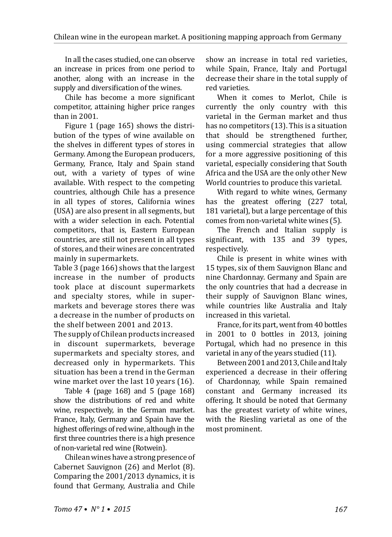In all the cases studied, one can observe an increase in prices from one period to another, along with an increase in the supply and diversification of the wines.

Chile has become a more significant competitor, attaining higher price ranges than in 2001.

Figure 1 (page 165) shows the distribution of the types of wine available on the shelves in different types of stores in Germany. Among the European producers, Germany, France, Italy and Spain stand out, with a variety of types of wine available. With respect to the competing countries, although Chile has a presence in all types of stores, California wines (USA) are also present in all segments, but with a wider selection in each. Potential competitors, that is, Eastern European countries, are still not present in all types of stores, and their wines are concentrated mainly in supermarkets.

Table 3 (page 166) shows that the largest increase in the number of products took place at discount supermarkets and specialty stores, while in supermarkets and beverage stores there was a decrease in the number of products on the shelf between 2001 and 2013.

The supply of Chilean products increased in discount supermarkets, beverage supermarkets and specialty stores, and decreased only in hypermarkets. This situation has been a trend in the German wine market over the last 10 years (16).

Table 4 (page 168) and 5 (page 168) show the distributions of red and white wine, respectively, in the German market. France, Italy, Germany and Spain have the highest offerings of red wine, although in the first three countries there is a high presence of non-varietal red wine (Rotwein).

Chilean wines have a strong presence of Cabernet Sauvignon (26) and Merlot (8). Comparing the 2001/2013 dynamics, it is found that Germany, Australia and Chile show an increase in total red varieties, while Spain, France, Italy and Portugal decrease their share in the total supply of red varieties.

When it comes to Merlot, Chile is currently the only country with this varietal in the German market and thus has no competitors (13). This is a situation that should be strengthened further, using commercial strategies that allow for a more aggressive positioning of this varietal, especially considering that South Africa and the USA are the only other New World countries to produce this varietal.

With regard to white wines, Germany has the greatest offering (227 total, 181 varietal), but a large percentage of this comes from non-varietal white wines (5).

The French and Italian supply is significant, with 135 and 39 types, respectively.

Chile is present in white wines with 15 types, six of them Sauvignon Blanc and nine Chardonnay. Germany and Spain are the only countries that had a decrease in their supply of Sauvignon Blanc wines, while countries like Australia and Italy increased in this varietal.

France, for its part, went from 40 bottles in 2001 to 0 bottles in 2013, joining Portugal, which had no presence in this varietal in any of the years studied (11).

Between 2001 and 2013, Chile and Italy experienced a decrease in their offering of Chardonnay, while Spain remained constant and Germany increased its offering. It should be noted that Germany has the greatest variety of white wines, with the Riesling varietal as one of the most prominent.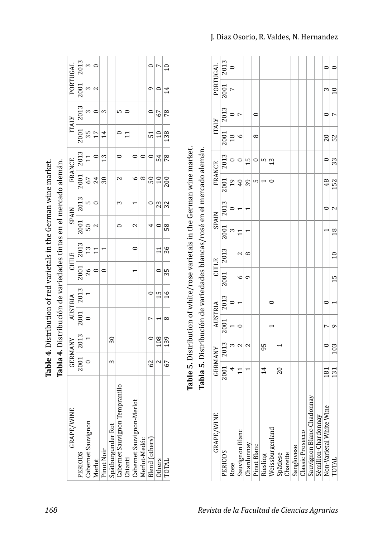|                                | Table 4. Distribution of red varietals in the German wine market. |                                   |          |               |                          |                                   |                                                                                     |              |                 |                |                 |              |             |                 |
|--------------------------------|-------------------------------------------------------------------|-----------------------------------|----------|---------------|--------------------------|-----------------------------------|-------------------------------------------------------------------------------------|--------------|-----------------|----------------|-----------------|--------------|-------------|-----------------|
|                                | Tabla 4. Distribución de variedades tintas en el mercado alemán.  |                                   |          |               |                          |                                   |                                                                                     |              |                 |                |                 |              |             |                 |
| <b>GRAPE/WINE</b>              |                                                                   | GERMANY   AUSTRIA                 |          |               |                          | <b>CHILE</b>                      |                                                                                     | <b>SPAIN</b> |                 | <b>FRANCE</b>  |                 | <b>ITALY</b> | PORTUGAL    |                 |
| PERIODS                        |                                                                   | $2001$   $2013$   $2001$   $2013$ |          |               |                          | $\vert$ 2001 $\vert$ 2013 $\vert$ | $\begin{array}{ c c c c c c }\hline 2001 & 2013 & 2001 & 2013 \ \hline \end{array}$ |              |                 |                | $2001$ 2013     |              | 2001   2013 |                 |
| Cabernet Sauvignon             |                                                                   | $\overline{a}$                    |          |               | $\frac{26}{ }$           | $\vert$ 13                        | $\overline{50}$                                                                     | n<br>D       | 67              | $\overline{1}$ | 35 <sub>5</sub> |              |             |                 |
| Merlot                         |                                                                   |                                   |          |               | $^{\circ}$               | $\frac{1}{1}$                     |                                                                                     |              | 24              | $\circ$        |                 |              |             |                 |
| Pinot Noir                     |                                                                   |                                   |          |               |                          |                                   |                                                                                     |              | $\overline{30}$ | 13             |                 |              |             |                 |
| Spätburgunder Rot              | 3                                                                 | 30                                |          |               |                          |                                   |                                                                                     |              |                 |                |                 |              |             |                 |
| Cabernet Sauvignon Tempranillo |                                                                   |                                   |          |               |                          |                                   |                                                                                     | 3            | $\sim$          |                |                 | Б            |             |                 |
| <b>hianti</b>                  |                                                                   |                                   |          |               |                          |                                   |                                                                                     |              |                 |                |                 |              |             |                 |
| Cabernet Sauvignon-Merlot      |                                                                   |                                   |          |               |                          | $\subset$                         | 2                                                                                   |              |                 |                |                 |              |             |                 |
| Merlot-Medóc                   |                                                                   |                                   |          |               |                          |                                   |                                                                                     |              |                 |                |                 |              |             |                 |
| <b>Blend</b> (others)          | 62                                                                | $\ddot{\phantom{0}}$              | r        |               |                          |                                   |                                                                                     |              | 50              |                | 51              |              |             |                 |
| Others                         |                                                                   | 108                               |          | 15            | $\overline{\phantom{0}}$ | $\frac{1}{1}$                     |                                                                                     | 23           | $\overline{10}$ | 54             | $\overline{10}$ | 67           |             |                 |
| TOTAL                          | 67                                                                | 139                               | $\infty$ | $\frac{6}{1}$ | 35                       | 36                                | 58                                                                                  | 32           | 200             | 78             | 138             | 78           | 14          | $\overline{10}$ |
|                                |                                                                   |                                   |          |               |                          |                                   |                                                                                     |              |                 |                |                 |              |             |                 |

Table 5. Distribution of white/rose varietals in the German wine market. Tabla 5. Distribución de variedades blancas/rosé en el mercado alemán. **Table 5.** Distribution of white/rose varietals in the German wine market. **Tabla 5.** Distribución de variedades blancas/rosé en el mercado alemán.

|  | PORTUGAL          | $\begin{array}{ c c c }\n\hline\n2001 & 2013 \\ \hline\n7 & 0\n\end{array}$                                                          |                |                  |            |             |          |                 |          |          |            |                  |                               |                     |                         |                 |
|--|-------------------|--------------------------------------------------------------------------------------------------------------------------------------|----------------|------------------|------------|-------------|----------|-----------------|----------|----------|------------|------------------|-------------------------------|---------------------|-------------------------|-----------------|
|  | <b>ITALY</b>      | $\begin{array}{c c c c c} & \text{2001} & \text{2013} & \text{21} \\ \hline \text{10} & \text{10} & \text{0} & \text{0} \end{array}$ |                | $\triangleright$ |            |             |          |                 |          |          |            |                  |                               |                     |                         |                 |
|  |                   |                                                                                                                                      |                |                  |            | $\infty$    |          |                 |          |          |            |                  |                               |                     | 20                      | 52              |
|  | <b>FRANCE</b>     | $\begin{array}{c c} 2001 & 2013 \ \hline 19 & 0 \ 40 & 0 \end{array}$                                                                |                |                  | 15         |             |          | 13              |          |          |            |                  |                               |                     |                         | 33              |
|  |                   |                                                                                                                                      |                |                  | 39         | ഥ           |          |                 |          |          |            |                  |                               |                     | 48                      | 152             |
|  | <b>SPAIN</b>      | -   2001 2013   20.                                                                                                                  |                |                  |            |             |          |                 |          |          |            |                  |                               |                     |                         |                 |
|  |                   |                                                                                                                                      | $\frac{3}{11}$ |                  |            |             |          |                 |          |          |            |                  |                               |                     |                         | 18              |
|  | <b>CHILE</b>      | $2001$ 2013                                                                                                                          |                |                  | $\infty$   |             |          |                 |          |          |            |                  |                               |                     |                         | $\overline{10}$ |
|  |                   |                                                                                                                                      |                |                  |            |             |          |                 |          |          |            |                  |                               |                     |                         | Ë               |
|  | AUSTRIA           |                                                                                                                                      |                |                  |            |             |          |                 |          |          |            |                  |                               |                     |                         |                 |
|  |                   | $2001$ $2013$                                                                                                                        |                |                  |            |             |          |                 |          |          |            |                  |                               |                     |                         |                 |
|  | <b>GERMANY</b>    | $\begin{array}{ c c c }\hline 2001&2013\ \hline 4&3\ \hline 11&2 \end{array}$                                                        |                |                  | 2          |             | 95       |                 |          |          |            |                  |                               |                     |                         | 103             |
|  |                   |                                                                                                                                      |                |                  |            |             | 4        |                 | 20       |          |            |                  |                               |                     | 181                     | 131             |
|  | <b>GRAPE/WINE</b> | PERIODS                                                                                                                              | Rose           | Sauvignon Blanc  | Chardonnay | Pinot Blanc | Riesling | Weissburgenland | Spätlese | Charette | Sanglovese | Classic Prosecco | nnay<br>Sauvignon Blanc-Chado | Sémillon-Chardonnay | Non-Varietal White Wine | TOTAL           |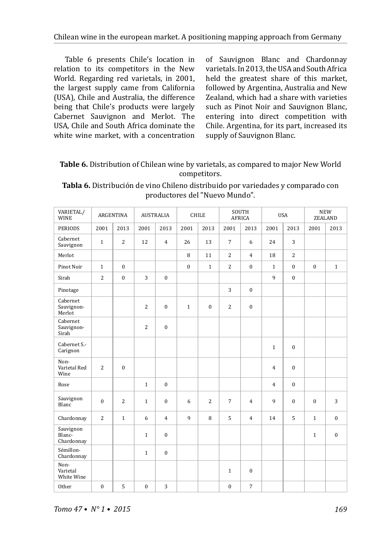Table 6 presents Chile's location in relation to its competitors in the New World. Regarding red varietals, in 2001, the largest supply came from California (USA), Chile and Australia, the difference being that Chile's products were largely Cabernet Sauvignon and Merlot. The USA, Chile and South Africa dominate the white wine market, with a concentration of Sauvignon Blanc and Chardonnay varietals. In 2013, the USA and South Africa held the greatest share of this market, followed by Argentina, Australia and New Zealand, which had a share with varieties such as Pinot Noir and Sauvignon Blanc, entering into direct competition with Chile. Argentina, for its part, increased its supply of Sauvignon Blanc.

# **Table 6.** Distribution of Chilean wine by varietals, as compared to major New World competitors.

| VARIETAL/<br><b>WINE</b>          | AUSTRALIA<br>ARGENTINA |                |                | <b>CHILE</b>     |              | SOUTH<br><b>AFRICA</b> |                | <b>USA</b>     |                | <b>NEW</b><br><b>ZEALAND</b> |              |                |
|-----------------------------------|------------------------|----------------|----------------|------------------|--------------|------------------------|----------------|----------------|----------------|------------------------------|--------------|----------------|
| <b>PERIODS</b>                    | 2001                   | 2013           | 2001           | 2013             | 2001         | 2013                   | 2001           | 2013           | 2001           | 2013                         | 2001         | 2013           |
| Cabernet<br>Sauvignon             | $\mathbf{1}$           | $\overline{2}$ | 12             | $\overline{4}$   | 26           | 13                     | $\overline{7}$ | 6              | 24             | $\overline{3}$               |              |                |
| Merlot                            |                        |                |                |                  | 8            | 11                     | $\overline{2}$ | $\overline{4}$ | 18             | $\overline{2}$               |              |                |
| Pinot Noir                        | $1\,$                  | $\theta$       |                |                  | $\mathbf{0}$ | $\mathbf{1}$           | $\overline{2}$ | $\mathbf{0}$   | $\mathbf{1}$   | $\mathbf{0}$                 | $\mathbf{0}$ | $\mathbf{1}$   |
| Sirah                             | $\overline{c}$         | $\mathbf{0}$   | 3              | $\mathbf{0}$     |              |                        |                |                | 9              | $\bf{0}$                     |              |                |
| Pinotage                          |                        |                |                |                  |              |                        | 3              | $\mathbf{0}$   |                |                              |              |                |
| Cabernet<br>Sauvignon-<br>Merlot  |                        |                | $\overline{c}$ | $\boldsymbol{0}$ | $\mathbf{1}$ | $\bf{0}$               | $\overline{c}$ | $\bf{0}$       |                |                              |              |                |
| Cabernet<br>Sauvignon-<br>Sirah   |                        |                | $\overline{c}$ | $\mathbf{0}$     |              |                        |                |                |                |                              |              |                |
| Cabernet S.-<br>Carignon          |                        |                |                |                  |              |                        |                |                | $\mathbf{1}$   | $\mathbf{0}$                 |              |                |
| Non-<br>Varietal Red<br>Wine      | $\overline{c}$         | $\mathbf{0}$   |                |                  |              |                        |                |                | $\overline{4}$ | $\mathbf{0}$                 |              |                |
| Rose                              |                        |                | $\mathbf{1}$   | $\mathbf{0}$     |              |                        |                |                | $\overline{4}$ | $\overline{0}$               |              |                |
| Sauvignon<br>Blanc                | $\theta$               | $\overline{2}$ | $\mathbf{1}$   | $\theta$         | 6            | $\overline{2}$         | 7              | $\overline{4}$ | 9              | $\mathbf{0}$                 | $\theta$     | $\overline{3}$ |
| Chardonnay                        | $\overline{2}$         | $\mathbf{1}$   | 6              | $\overline{4}$   | 9            | 8                      | 5              | $\overline{4}$ | 14             | 5                            | $\mathbf{1}$ | $\mathbf{0}$   |
| Sauvignon<br>Blanc-<br>Chardonnay |                        |                | $\mathbf{1}$   | $\boldsymbol{0}$ |              |                        |                |                |                |                              | $\mathbf{1}$ | $\mathbf{0}$   |
| Sémillon-<br>Chardonnay           |                        |                | $\mathbf{1}$   | $\mathbf{0}$     |              |                        |                |                |                |                              |              |                |
| Non-<br>Varietal<br>White Wine    |                        |                |                |                  |              |                        | $\mathbf{1}$   | $\mathbf{0}$   |                |                              |              |                |
| Other                             | $\mathbf{0}$           | 5              | $\mathbf{0}$   | 3                |              |                        | $\mathbf{0}$   | $\overline{7}$ |                |                              |              |                |

**Tabla 6.** Distribución de vino Chileno distribuido por variedades y comparado con productores del "Nuevo Mundo".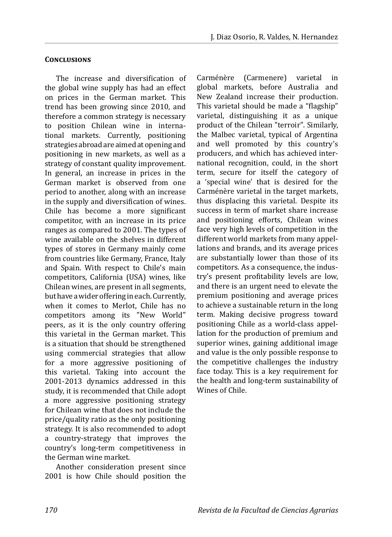## **Conclusions**

The increase and diversification of the global wine supply has had an effect on prices in the German market. This trend has been growing since 2010, and therefore a common strategy is necessary to position Chilean wine in international markets. Currently, positioning strategies abroad are aimed at opening and positioning in new markets, as well as a strategy of constant quality improvement. In general, an increase in prices in the German market is observed from one period to another, along with an increase in the supply and diversification of wines. Chile has become a more significant competitor, with an increase in its price ranges as compared to 2001. The types of wine available on the shelves in different types of stores in Germany mainly come from countries like Germany, France, Italy and Spain. With respect to Chile's main competitors, California (USA) wines, like Chilean wines, are present in all segments, but have a wider offering in each. Currently, when it comes to Merlot, Chile has no competitors among its "New World" peers, as it is the only country offering this varietal in the German market. This is a situation that should be strengthened using commercial strategies that allow for a more aggressive positioning of this varietal. Taking into account the 2001-2013 dynamics addressed in this study, it is recommended that Chile adopt a more aggressive positioning strategy for Chilean wine that does not include the price/quality ratio as the only positioning strategy. It is also recommended to adopt a country-strategy that improves the country's long-term competitiveness in the German wine market.

Another consideration present since 2001 is how Chile should position the Carménère (Carmenere) varietal in global markets, before Australia and New Zealand increase their production. This varietal should be made a "flagship" varietal, distinguishing it as a unique product of the Chilean "terroir". Similarly, the Malbec varietal, typical of Argentina and well promoted by this country's producers, and which has achieved international recognition, could, in the short term, secure for itself the category of a 'special wine' that is desired for the Carménère varietal in the target markets, thus displacing this varietal. Despite its success in term of market share increase and positioning efforts, Chilean wines face very high levels of competition in the different world markets from many appellations and brands, and its average prices are substantially lower than those of its competitors. As a consequence, the industry's present profitability levels are low, and there is an urgent need to elevate the premium positioning and average prices to achieve a sustainable return in the long term. Making decisive progress toward positioning Chile as a world-class appellation for the production of premium and superior wines, gaining additional image and value is the only possible response to the competitive challenges the industry face today. This is a key requirement for the health and long-term sustainability of Wines of Chile.